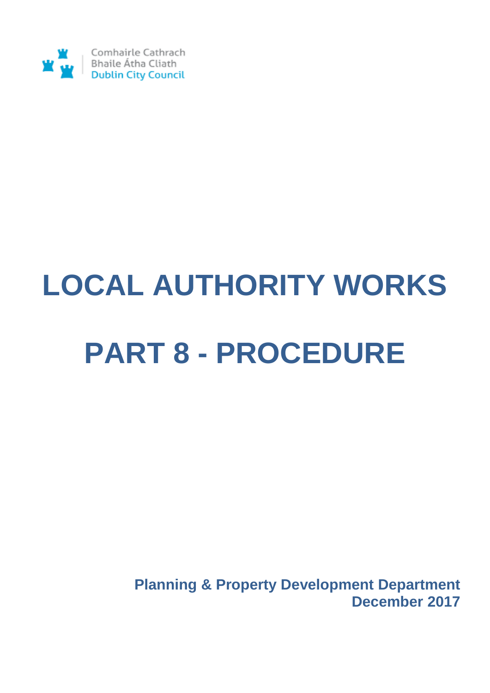

# **LOCAL AUTHORITY WORKS PART 8 - PROCEDURE**

**Planning & Property Development Department December 2017**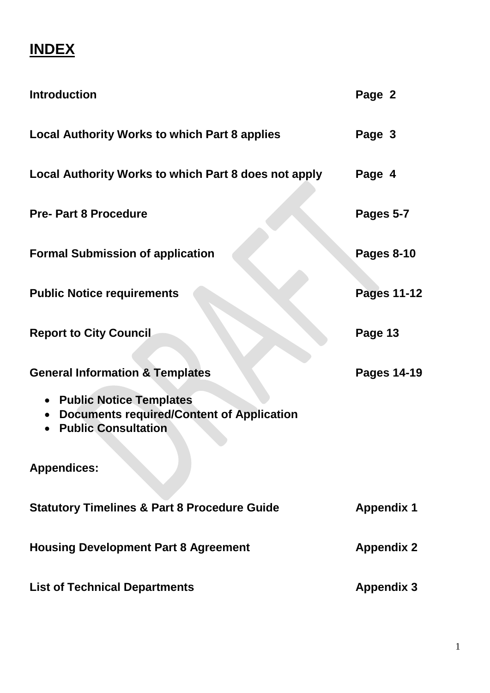## **INDEX**

| <b>Introduction</b>                                                                                         | Page 2             |
|-------------------------------------------------------------------------------------------------------------|--------------------|
| <b>Local Authority Works to which Part 8 applies</b>                                                        | Page 3             |
| Local Authority Works to which Part 8 does not apply                                                        | Page 4             |
| <b>Pre-Part 8 Procedure</b>                                                                                 | Pages 5-7          |
| <b>Formal Submission of application</b>                                                                     | <b>Pages 8-10</b>  |
| <b>Public Notice requirements</b>                                                                           | <b>Pages 11-12</b> |
| <b>Report to City Council</b>                                                                               | Page 13            |
| <b>General Information &amp; Templates</b>                                                                  | <b>Pages 14-19</b> |
| • Public Notice Templates<br><b>Documents required/Content of Application</b><br><b>Public Consultation</b> |                    |
| <b>Appendices:</b>                                                                                          |                    |
| <b>Statutory Timelines &amp; Part 8 Procedure Guide</b>                                                     | <b>Appendix 1</b>  |
| <b>Housing Development Part 8 Agreement</b>                                                                 | <b>Appendix 2</b>  |
| <b>List of Technical Departments</b>                                                                        | <b>Appendix 3</b>  |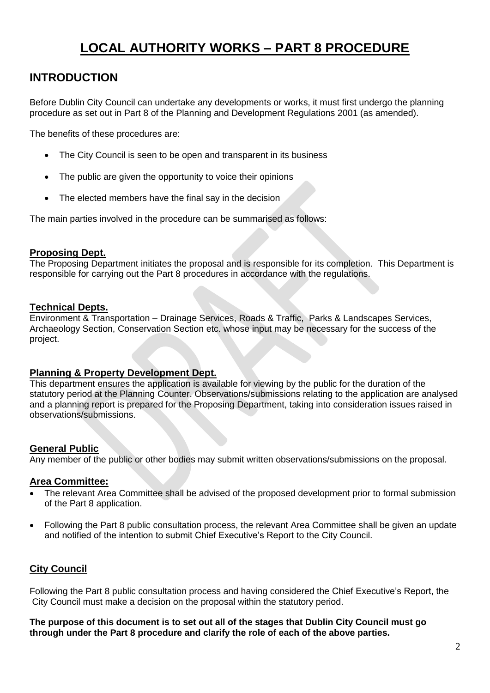#### **LOCAL AUTHORITY WORKS – PART 8 PROCEDURE**

#### **INTRODUCTION**

Before Dublin City Council can undertake any developments or works, it must first undergo the planning procedure as set out in Part 8 of the Planning and Development Regulations 2001 (as amended).

The benefits of these procedures are:

- The City Council is seen to be open and transparent in its business
- The public are given the opportunity to voice their opinions
- The elected members have the final say in the decision

The main parties involved in the procedure can be summarised as follows:

#### **Proposing Dept.**

The Proposing Department initiates the proposal and is responsible for its completion. This Department is responsible for carrying out the Part 8 procedures in accordance with the regulations.

#### **Technical Depts.**

Environment & Transportation – Drainage Services, Roads & Traffic, Parks & Landscapes Services, Archaeology Section, Conservation Section etc. whose input may be necessary for the success of the project.

#### **Planning & Property Development Dept.**

This department ensures the application is available for viewing by the public for the duration of the statutory period at the Planning Counter. Observations/submissions relating to the application are analysed and a planning report is prepared for the Proposing Department, taking into consideration issues raised in observations/submissions.

#### **General Public**

Any member of the public or other bodies may submit written observations/submissions on the proposal.

#### **Area Committee:**

- The relevant Area Committee shall be advised of the proposed development prior to formal submission of the Part 8 application.
- Following the Part 8 public consultation process, the relevant Area Committee shall be given an update and notified of the intention to submit Chief Executive's Report to the City Council.

#### **City Council**

Following the Part 8 public consultation process and having considered the Chief Executive's Report, the City Council must make a decision on the proposal within the statutory period.

**The purpose of this document is to set out all of the stages that Dublin City Council must go through under the Part 8 procedure and clarify the role of each of the above parties.**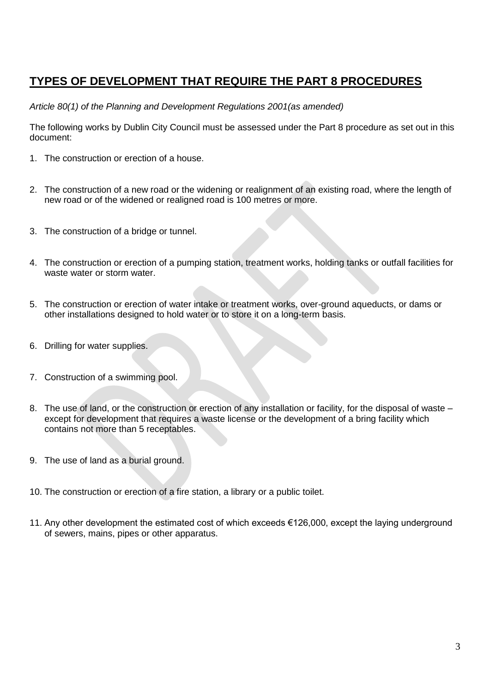#### **TYPES OF DEVELOPMENT THAT REQUIRE THE PART 8 PROCEDURES**

*Article 80(1) of the Planning and Development Regulations 2001(as amended)*

The following works by Dublin City Council must be assessed under the Part 8 procedure as set out in this document:

- 1. The construction or erection of a house.
- 2. The construction of a new road or the widening or realignment of an existing road, where the length of new road or of the widened or realigned road is 100 metres or more.
- 3. The construction of a bridge or tunnel.
- 4. The construction or erection of a pumping station, treatment works, holding tanks or outfall facilities for waste water or storm water.
- 5. The construction or erection of water intake or treatment works, over-ground aqueducts, or dams or other installations designed to hold water or to store it on a long-term basis.
- 6. Drilling for water supplies.
- 7. Construction of a swimming pool.
- 8. The use of land, or the construction or erection of any installation or facility, for the disposal of waste except for development that requires a waste license or the development of a bring facility which contains not more than 5 receptables.
- 9. The use of land as a burial ground.
- 10. The construction or erection of a fire station, a library or a public toilet.
- 11. Any other development the estimated cost of which exceeds €126,000, except the laying underground of sewers, mains, pipes or other apparatus.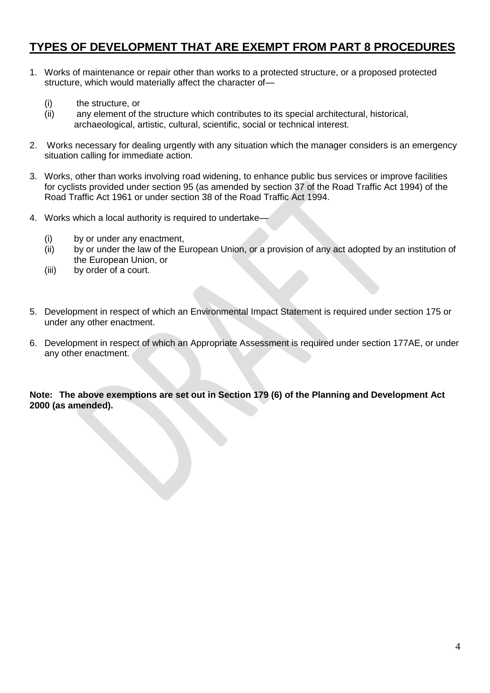#### **TYPES OF DEVELOPMENT THAT ARE EXEMPT FROM PART 8 PROCEDURES**

- 1. Works of maintenance or repair other than works to a protected structure, or a proposed protected structure, which would materially affect the character of—
	- (i) the structure, or
	- (ii) any element of the structure which contributes to its special architectural, historical, archaeological, artistic, cultural, scientific, social or technical interest.
- 2. Works necessary for dealing urgently with any situation which the manager considers is an emergency situation calling for immediate action.
- 3. Works, other than works involving road widening, to enhance public bus services or improve facilities for cyclists provided under section 95 (as amended by section 37 of the Road Traffic Act 1994) of the Road Traffic Act 1961 or under section 38 of the Road Traffic Act 1994.
- 4. Works which a local authority is required to undertake—
	- (i) by or under any enactment,
	- (ii) by or under the law of the European Union, or a provision of any act adopted by an institution of the European Union, or
	- (iii) by order of a court.
- 5. Development in respect of which an Environmental Impact Statement is required under section 175 or under any other enactment.
- 6. Development in respect of which an Appropriate Assessment is required under section 177AE, or under any other enactment.

**Note: The above exemptions are set out in Section 179 (6) of the Planning and Development Act 2000 (as amended).**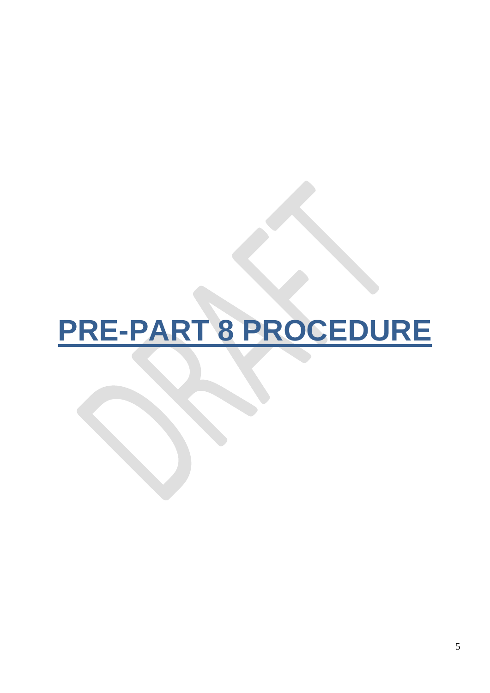## **PRE-PART 8 PROCEDURE**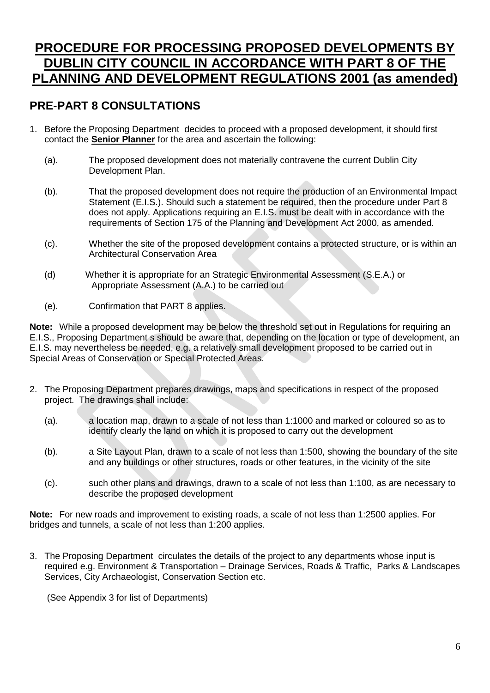#### **PROCEDURE FOR PROCESSING PROPOSED DEVELOPMENTS BY DUBLIN CITY COUNCIL IN ACCORDANCE WITH PART 8 OF THE PLANNING AND DEVELOPMENT REGULATIONS 2001 (as amended)**

#### **PRE-PART 8 CONSULTATIONS**

- 1. Before the Proposing Department decides to proceed with a proposed development, it should first contact the **Senior Planner** for the area and ascertain the following:
	- (a). The proposed development does not materially contravene the current Dublin City Development Plan.
	- (b). That the proposed development does not require the production of an Environmental Impact Statement (E.I.S.). Should such a statement be required, then the procedure under Part 8 does not apply. Applications requiring an E.I.S. must be dealt with in accordance with the requirements of Section 175 of the Planning and Development Act 2000, as amended.
	- (c). Whether the site of the proposed development contains a protected structure, or is within an Architectural Conservation Area
	- (d) Whether it is appropriate for an Strategic Environmental Assessment (S.E.A.) or Appropriate Assessment (A.A.) to be carried out
	- (e). Confirmation that PART 8 applies.

**Note:** While a proposed development may be below the threshold set out in Regulations for requiring an E.I.S., Proposing Department s should be aware that, depending on the location or type of development, an E.I.S. may nevertheless be needed, e.g. a relatively small development proposed to be carried out in Special Areas of Conservation or Special Protected Areas.

- 2. The Proposing Department prepares drawings, maps and specifications in respect of the proposed project. The drawings shall include:
	- (a). a location map, drawn to a scale of not less than 1:1000 and marked or coloured so as to identify clearly the land on which it is proposed to carry out the development
	- (b). a Site Layout Plan, drawn to a scale of not less than 1:500, showing the boundary of the site and any buildings or other structures, roads or other features, in the vicinity of the site
	- (c). such other plans and drawings, drawn to a scale of not less than 1:100, as are necessary to describe the proposed development

**Note:** For new roads and improvement to existing roads, a scale of not less than 1:2500 applies. For bridges and tunnels, a scale of not less than 1:200 applies.

3. The Proposing Department circulates the details of the project to any departments whose input is required e.g. Environment & Transportation – Drainage Services, Roads & Traffic, Parks & Landscapes Services, City Archaeologist, Conservation Section etc.

(See Appendix 3 for list of Departments)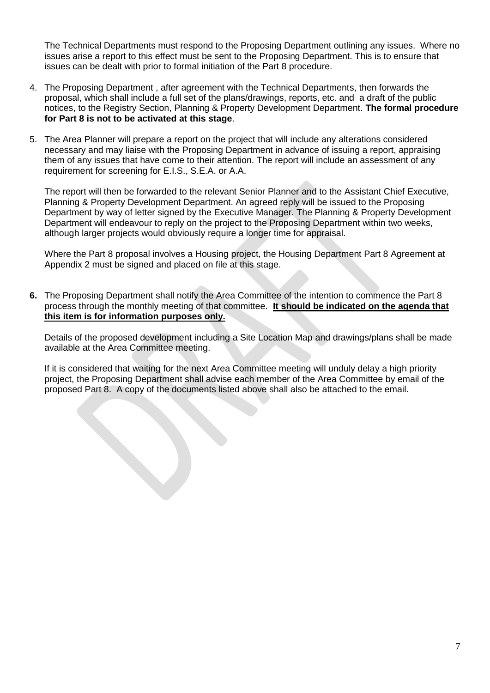The Technical Departments must respond to the Proposing Department outlining any issues. Where no issues arise a report to this effect must be sent to the Proposing Department. This is to ensure that issues can be dealt with prior to formal initiation of the Part 8 procedure.

- 4. The Proposing Department , after agreement with the Technical Departments, then forwards the proposal, which shall include a full set of the plans/drawings, reports, etc. and a draft of the public notices, to the Registry Section, Planning & Property Development Department. **The formal procedure for Part 8 is not to be activated at this stage**.
- 5. The Area Planner will prepare a report on the project that will include any alterations considered necessary and may liaise with the Proposing Department in advance of issuing a report, appraising them of any issues that have come to their attention. The report will include an assessment of any requirement for screening for E.I.S., S.E.A. or A.A.

The report will then be forwarded to the relevant Senior Planner and to the Assistant Chief Executive, Planning & Property Development Department. An agreed reply will be issued to the Proposing Department by way of letter signed by the Executive Manager. The Planning & Property Development Department will endeavour to reply on the project to the Proposing Department within two weeks, although larger projects would obviously require a longer time for appraisal.

Where the Part 8 proposal involves a Housing project, the Housing Department Part 8 Agreement at Appendix 2 must be signed and placed on file at this stage.

**6.** The Proposing Department shall notify the Area Committee of the intention to commence the Part 8 process through the monthly meeting of that committee. **It should be indicated on the agenda that this item is for information purposes only.**

Details of the proposed development including a Site Location Map and drawings/plans shall be made available at the Area Committee meeting.

If it is considered that waiting for the next Area Committee meeting will unduly delay a high priority project, the Proposing Department shall advise each member of the Area Committee by email of the proposed Part 8. A copy of the documents listed above shall also be attached to the email.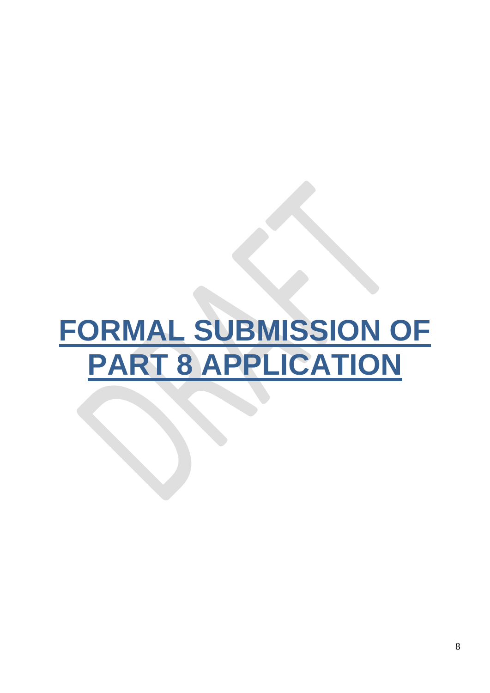## **FORMAL SUBMISSION OF PART 8 APPLICATION**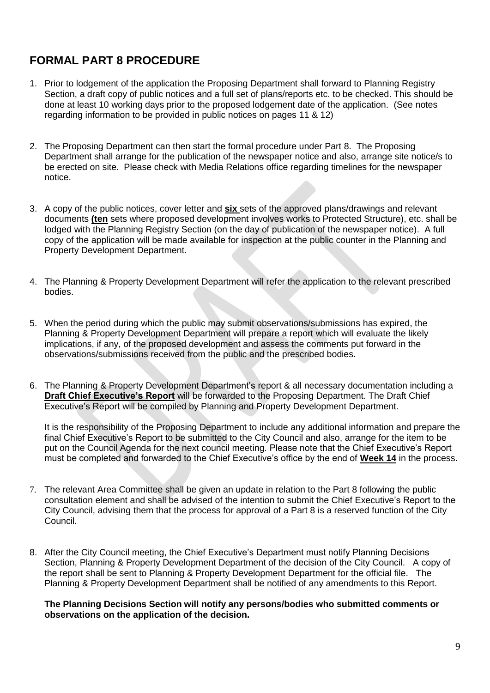#### **FORMAL PART 8 PROCEDURE**

- 1. Prior to lodgement of the application the Proposing Department shall forward to Planning Registry Section, a draft copy of public notices and a full set of plans/reports etc. to be checked. This should be done at least 10 working days prior to the proposed lodgement date of the application. (See notes regarding information to be provided in public notices on pages 11 & 12)
- 2. The Proposing Department can then start the formal procedure under Part 8. The Proposing Department shall arrange for the publication of the newspaper notice and also, arrange site notice/s to be erected on site. Please check with Media Relations office regarding timelines for the newspaper notice.
- 3. A copy of the public notices, cover letter and **six** sets of the approved plans/drawings and relevant documents **(ten** sets where proposed development involves works to Protected Structure), etc. shall be lodged with the Planning Registry Section (on the day of publication of the newspaper notice). A full copy of the application will be made available for inspection at the public counter in the Planning and Property Development Department.
- 4. The Planning & Property Development Department will refer the application to the relevant prescribed bodies.
- 5. When the period during which the public may submit observations/submissions has expired, the Planning & Property Development Department will prepare a report which will evaluate the likely implications, if any, of the proposed development and assess the comments put forward in the observations/submissions received from the public and the prescribed bodies.
- 6. The Planning & Property Development Department's report & all necessary documentation including a **Draft Chief Executive's Report** will be forwarded to the Proposing Department. The Draft Chief Executive's Report will be compiled by Planning and Property Development Department.

It is the responsibility of the Proposing Department to include any additional information and prepare the final Chief Executive's Report to be submitted to the City Council and also, arrange for the item to be put on the Council Agenda for the next council meeting. Please note that the Chief Executive's Report must be completed and forwarded to the Chief Executive's office by the end of **Week 14** in the process.

- 7. The relevant Area Committee shall be given an update in relation to the Part 8 following the public consultation element and shall be advised of the intention to submit the Chief Executive's Report to the City Council, advising them that the process for approval of a Part 8 is a reserved function of the City Council.
- 8. After the City Council meeting, the Chief Executive's Department must notify Planning Decisions Section, Planning & Property Development Department of the decision of the City Council. A copy of the report shall be sent to Planning & Property Development Department for the official file. The Planning & Property Development Department shall be notified of any amendments to this Report.

**The Planning Decisions Section will notify any persons/bodies who submitted comments or observations on the application of the decision.**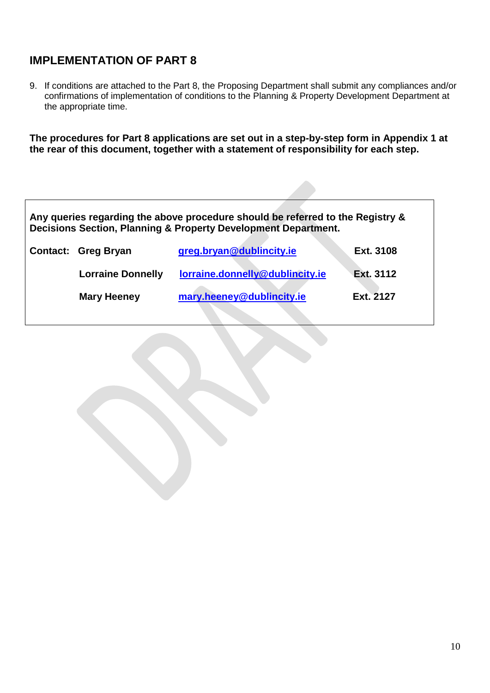#### **IMPLEMENTATION OF PART 8**

9. If conditions are attached to the Part 8, the Proposing Department shall submit any compliances and/or confirmations of implementation of conditions to the Planning & Property Development Department at the appropriate time.

**The procedures for Part 8 applications are set out in a step-by-step form in Appendix 1 at the rear of this document, together with a statement of responsibility for each step.**

| Any queries regarding the above procedure should be referred to the Registry &<br>Decisions Section, Planning & Property Development Department. |                            |                                 |           |
|--------------------------------------------------------------------------------------------------------------------------------------------------|----------------------------|---------------------------------|-----------|
|                                                                                                                                                  | <b>Contact: Greg Bryan</b> | greg.bryan@dublincity.ie        | Ext. 3108 |
|                                                                                                                                                  | <b>Lorraine Donnelly</b>   | lorraine.donnelly@dublincity.ie | Ext. 3112 |
|                                                                                                                                                  | <b>Mary Heeney</b>         | mary.heeney@dublincity.ie       | Ext. 2127 |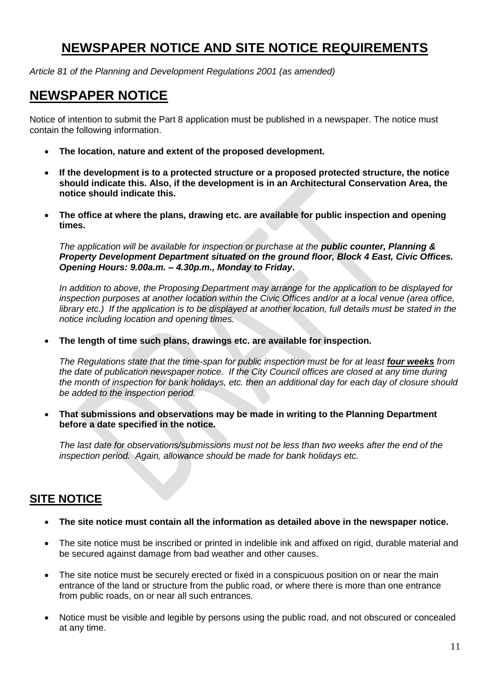#### **NEWSPAPER NOTICE AND SITE NOTICE REQUIREMENTS**

*Article 81 of the Planning and Development Regulations 2001 (as amended)*

#### **NEWSPAPER NOTICE**

Notice of intention to submit the Part 8 application must be published in a newspaper. The notice must contain the following information.

- **The location, nature and extent of the proposed development.**
- **If the development is to a protected structure or a proposed protected structure, the notice should indicate this. Also, if the development is in an Architectural Conservation Area, the notice should indicate this.**
- **The office at where the plans, drawing etc. are available for public inspection and opening times.**

*The application will be available for inspection or purchase at the public counter, Planning & Property Development Department situated on the ground floor, Block 4 East, Civic Offices. Opening Hours: 9.00a.m. – 4.30p.m., Monday to Friday***.**

*In addition to above, the Proposing Department may arrange for the application to be displayed for inspection purposes at another location within the Civic Offices and/or at a local venue (area office, library etc.)* If the application is to be displayed at another location, full details must be stated in the *notice including location and opening times.*

**The length of time such plans, drawings etc. are available for inspection.**

*The Regulations state that the time-span for public inspection must be for at least <i>four* weeks from *the date of publication newspaper notice. If the City Council offices are closed at any time during the month of inspection for bank holidays, etc. then an additional day for each day of closure should be added to the inspection period.*

 **That submissions and observations may be made in writing to the Planning Department before a date specified in the notice.**

*The last date for observations/submissions must not be less than two weeks after the end of the inspection period. Again, allowance should be made for bank holidays etc.*

#### **SITE NOTICE**

- **The site notice must contain all the information as detailed above in the newspaper notice.**
- The site notice must be inscribed or printed in indelible ink and affixed on rigid, durable material and be secured against damage from bad weather and other causes.
- The site notice must be securely erected or fixed in a conspicuous position on or near the main entrance of the land or structure from the public road, or where there is more than one entrance from public roads, on or near all such entrances.
- Notice must be visible and legible by persons using the public road, and not obscured or concealed at any time.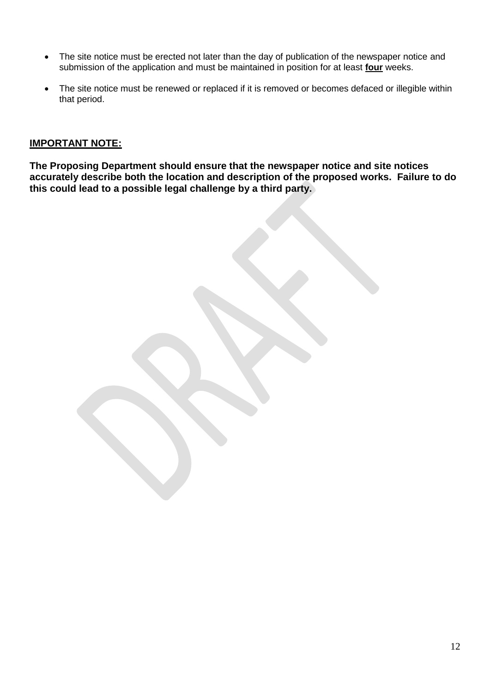- The site notice must be erected not later than the day of publication of the newspaper notice and submission of the application and must be maintained in position for at least **four** weeks.
- The site notice must be renewed or replaced if it is removed or becomes defaced or illegible within that period.

#### **IMPORTANT NOTE:**

**The Proposing Department should ensure that the newspaper notice and site notices accurately describe both the location and description of the proposed works. Failure to do this could lead to a possible legal challenge by a third party.**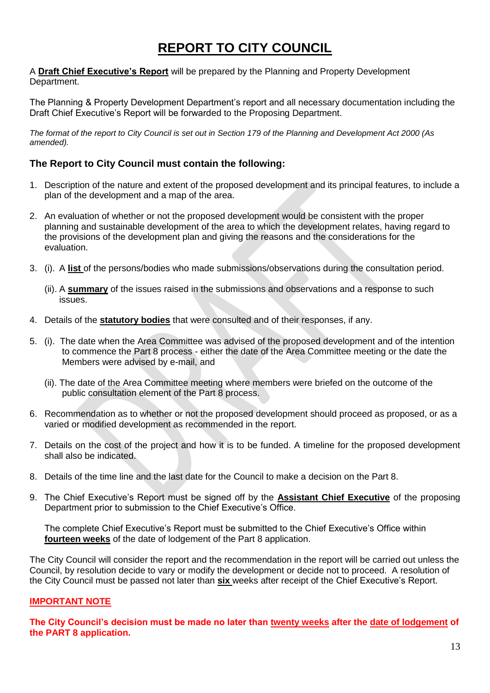#### **REPORT TO CITY COUNCIL**

A **Draft Chief Executive's Report** will be prepared by the Planning and Property Development Department.

The Planning & Property Development Department's report and all necessary documentation including the Draft Chief Executive's Report will be forwarded to the Proposing Department.

*The format of the report to City Council is set out in Section 179 of the Planning and Development Act 2000 (As amended).*

#### **The Report to City Council must contain the following:**

- 1. Description of the nature and extent of the proposed development and its principal features, to include a plan of the development and a map of the area.
- 2. An evaluation of whether or not the proposed development would be consistent with the proper planning and sustainable development of the area to which the development relates, having regard to the provisions of the development plan and giving the reasons and the considerations for the evaluation.
- 3. (i). A **list** of the persons/bodies who made submissions/observations during the consultation period.
	- (ii). A **summary** of the issues raised in the submissions and observations and a response to such issues.
- 4. Details of the **statutory bodies** that were consulted and of their responses, if any.
- 5. (i). The date when the Area Committee was advised of the proposed development and of the intention to commence the Part 8 process - either the date of the Area Committee meeting or the date the Members were advised by e-mail, and
	- (ii). The date of the Area Committee meeting where members were briefed on the outcome of the public consultation element of the Part 8 process.
- 6. Recommendation as to whether or not the proposed development should proceed as proposed, or as a varied or modified development as recommended in the report.
- 7. Details on the cost of the project and how it is to be funded. A timeline for the proposed development shall also be indicated.
- 8. Details of the time line and the last date for the Council to make a decision on the Part 8.
- 9. The Chief Executive's Report must be signed off by the **Assistant Chief Executive** of the proposing Department prior to submission to the Chief Executive's Office.

The complete Chief Executive's Report must be submitted to the Chief Executive's Office within **fourteen weeks** of the date of lodgement of the Part 8 application.

The City Council will consider the report and the recommendation in the report will be carried out unless the Council, by resolution decide to vary or modify the development or decide not to proceed. A resolution of the City Council must be passed not later than **six** weeks after receipt of the Chief Executive's Report.

#### **IMPORTANT NOTE**

**The City Council's decision must be made no later than twenty weeks after the date of lodgement of the PART 8 application.**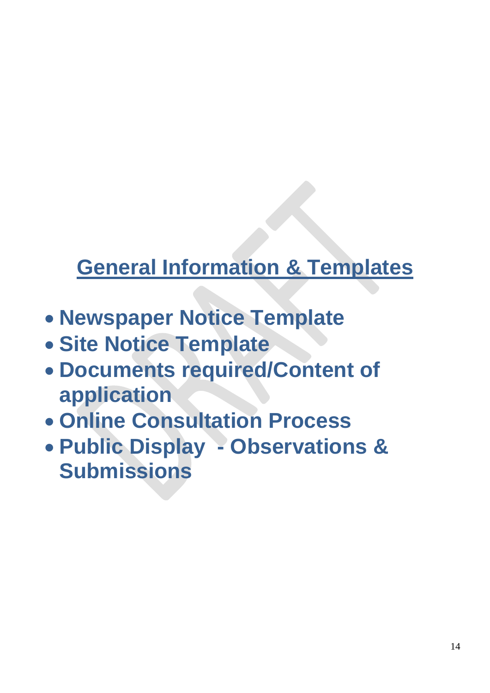## **General Information & Templates**

- **Newspaper Notice Template**
- **Site Notice Template**
- **Documents required/Content of application**
- **Online Consultation Process**
- **Public Display - Observations & Submissions**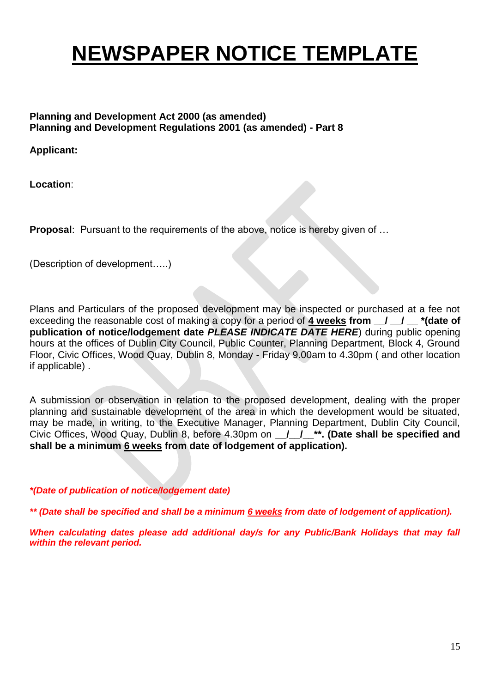## **NEWSPAPER NOTICE TEMPLATE**

#### **Planning and Development Act 2000 (as amended) Planning and Development Regulations 2001 (as amended) - Part 8**

**Applicant:**

**Location**:

**Proposal:** Pursuant to the requirements of the above, notice is hereby given of ...

(Description of development…..)

Plans and Particulars of the proposed development may be inspected or purchased at a fee not exceeding the reasonable cost of making a copy for a period of 4 weeks from  $\frac{1}{1}$   $\frac{1}{1}$  \*(date of **publication of notice/lodgement date** *PLEASE INDICATE DATE HERE*) during public opening hours at the offices of Dublin City Council, Public Counter, Planning Department, Block 4, Ground Floor, Civic Offices, Wood Quay, Dublin 8, Monday - Friday 9.00am to 4.30pm ( and other location if applicable) .

A submission or observation in relation to the proposed development, dealing with the proper planning and sustainable development of the area in which the development would be situated, may be made, in writing, to the Executive Manager, Planning Department, Dublin City Council, Civic Offices, Wood Quay, Dublin 8, before 4.30pm on **/ /<sup>\*\*</sup>. (Date shall be specified and shall be a minimum 6 weeks from date of lodgement of application).**

*\*(Date of publication of notice/lodgement date)*

*\*\* (Date shall be specified and shall be a minimum 6 weeks from date of lodgement of application).*

*When calculating dates please add additional day/s for any Public/Bank Holidays that may fall within the relevant period.*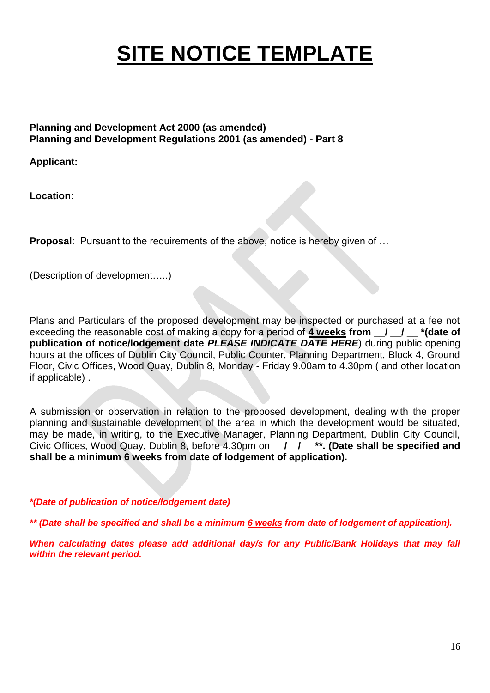## **SITE NOTICE TEMPLATE**

#### **Planning and Development Act 2000 (as amended) Planning and Development Regulations 2001 (as amended) - Part 8**

**Applicant:**

**Location**:

**Proposal:** Pursuant to the requirements of the above, notice is hereby given of ...

(Description of development…..)

Plans and Particulars of the proposed development may be inspected or purchased at a fee not exceeding the reasonable cost of making a copy for a period of **4 weeks from \_\_/ \_\_/ \_\_ \*(date of publication of notice/lodgement date** *PLEASE INDICATE DATE HERE*) during public opening hours at the offices of Dublin City Council, Public Counter, Planning Department, Block 4, Ground Floor, Civic Offices, Wood Quay, Dublin 8, Monday - Friday 9.00am to 4.30pm ( and other location if applicable) .

A submission or observation in relation to the proposed development, dealing with the proper planning and sustainable development of the area in which the development would be situated, may be made, in writing, to the Executive Manager, Planning Department, Dublin City Council, Civic Offices, Wood Quay, Dublin 8, before 4.30pm on **/ / \*\*. (Date shall be specified and shall be a minimum 6 weeks from date of lodgement of application).**

*\*(Date of publication of notice/lodgement date)*

*\*\* (Date shall be specified and shall be a minimum 6 weeks from date of lodgement of application).*

*When calculating dates please add additional day/s for any Public/Bank Holidays that may fall within the relevant period.*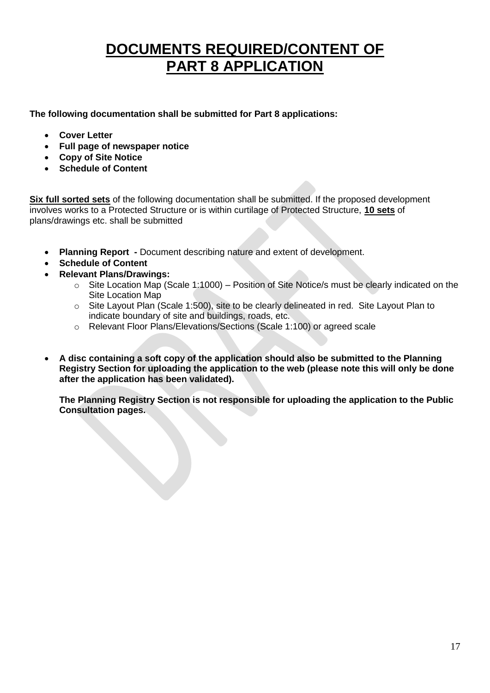## **DOCUMENTS REQUIRED/CONTENT OF PART 8 APPLICATION**

**The following documentation shall be submitted for Part 8 applications:**

- **Cover Letter**
- **Full page of newspaper notice**
- **Copy of Site Notice**
- **Schedule of Content**

**Six full sorted sets** of the following documentation shall be submitted. If the proposed development involves works to a Protected Structure or is within curtilage of Protected Structure, **10 sets** of plans/drawings etc. shall be submitted

- **Planning Report -** Document describing nature and extent of development.
- **Schedule of Content**
- **Relevant Plans/Drawings:**
	- $\circ$  Site Location Map (Scale 1:1000) Position of Site Notice/s must be clearly indicated on the Site Location Map
	- o Site Layout Plan (Scale 1:500), site to be clearly delineated in red. Site Layout Plan to indicate boundary of site and buildings, roads, etc.
	- o Relevant Floor Plans/Elevations/Sections (Scale 1:100) or agreed scale
- **A disc containing a soft copy of the application should also be submitted to the Planning Registry Section for uploading the application to the web (please note this will only be done after the application has been validated).**

**The Planning Registry Section is not responsible for uploading the application to the Public Consultation pages.**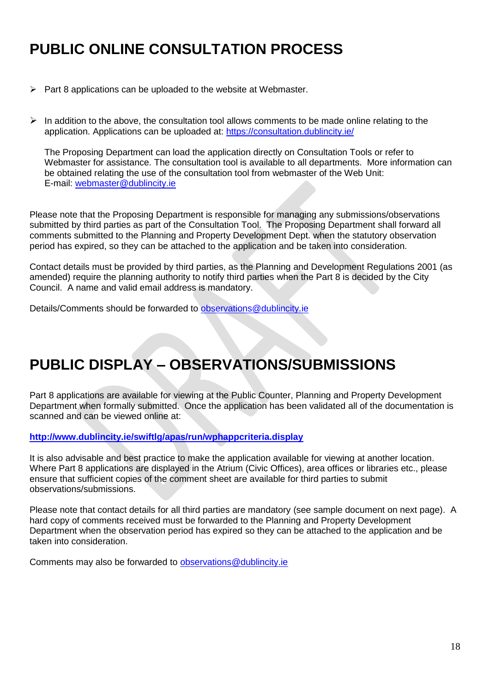## **PUBLIC ONLINE CONSULTATION PROCESS**

- $\triangleright$  Part 8 applications can be uploaded to the website at Webmaster.
- $\triangleright$  In addition to the above, the consultation tool allows comments to be made online relating to the application. Applications can be uploaded at: <https://consultation.dublincity.ie/>

The Proposing Department can load the application directly on Consultation Tools or refer to Webmaster for assistance. The consultation tool is available to all departments. More information can be obtained relating the use of the consultation tool from webmaster of the Web Unit: E-mail: [webmaster@dublincity.ie](mailto:webmaster@dublincity.ie)

Please note that the Proposing Department is responsible for managing any submissions/observations submitted by third parties as part of the Consultation Tool. The Proposing Department shall forward all comments submitted to the Planning and Property Development Dept. when the statutory observation period has expired, so they can be attached to the application and be taken into consideration.

Contact details must be provided by third parties, as the Planning and Development Regulations 2001 (as amended) require the planning authority to notify third parties when the Part 8 is decided by the City Council. A name and valid email address is mandatory.

Details/Comments should be forwarded to [observations@dublincity.ie](mailto:observations@dublincity.ie)

## **PUBLIC DISPLAY – OBSERVATIONS/SUBMISSIONS**

Part 8 applications are available for viewing at the Public Counter, Planning and Property Development Department when formally submitted. Once the application has been validated all of the documentation is scanned and can be viewed online at:

**<http://www.dublincity.ie/swiftlg/apas/run/wphappcriteria.display>**

It is also advisable and best practice to make the application available for viewing at another location. Where Part 8 applications are displayed in the Atrium (Civic Offices), area offices or libraries etc., please ensure that sufficient copies of the comment sheet are available for third parties to submit observations/submissions.

Please note that contact details for all third parties are mandatory (see sample document on next page). A hard copy of comments received must be forwarded to the Planning and Property Development Department when the observation period has expired so they can be attached to the application and be taken into consideration.

Comments may also be forwarded to [observations@dublincity.ie](mailto:observations@dublincity.ie)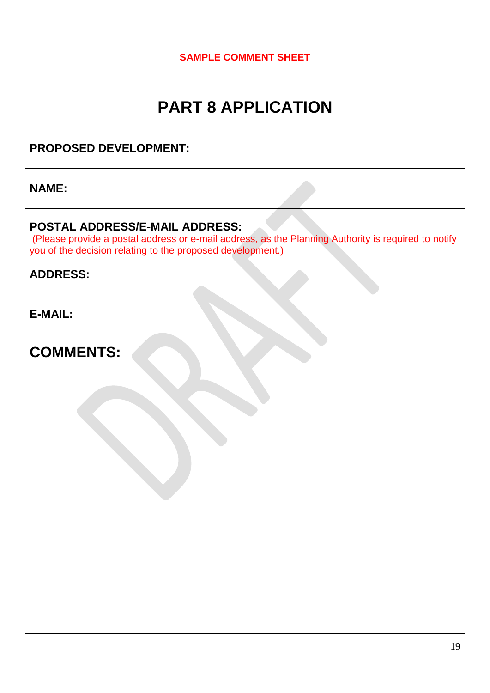#### **SAMPLE COMMENT SHEET**

## **PART 8 APPLICATION**

#### **PROPOSED DEVELOPMENT:**

#### **NAME:**

#### **POSTAL ADDRESS/E-MAIL ADDRESS:**

(Please provide a postal address or e-mail address, as the Planning Authority is required to notify you of the decision relating to the proposed development.)

#### **ADDRESS:**

**E-MAIL:** 

**COMMENTS:**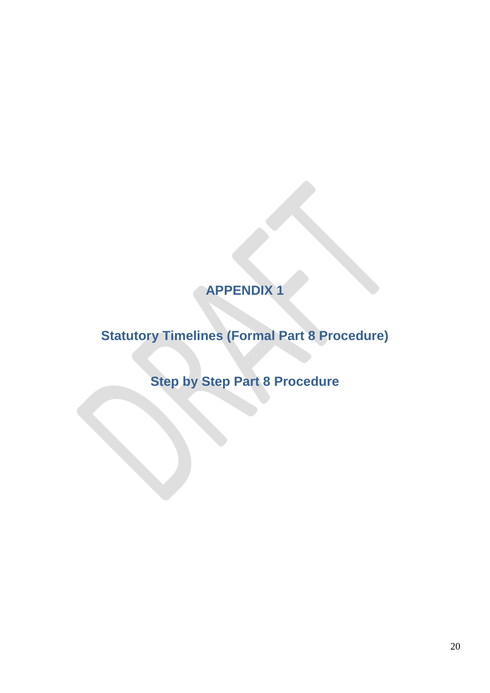## **APPENDIX 1**

## **Statutory Timelines (Formal Part 8 Procedure)**

**Step by Step Part 8 Procedure**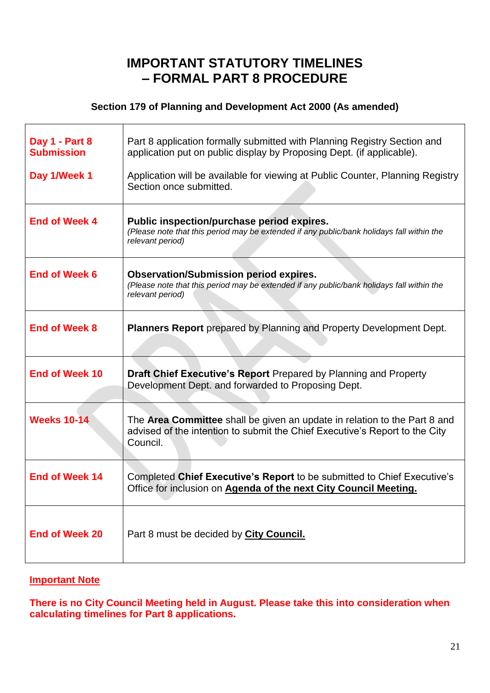#### **IMPORTANT STATUTORY TIMELINES – FORMAL PART 8 PROCEDURE**

#### **Section 179 of Planning and Development Act 2000 (As amended)**

| Day 1 - Part 8<br><b>Submission</b> | Part 8 application formally submitted with Planning Registry Section and<br>application put on public display by Proposing Dept. (if applicable).                    |  |
|-------------------------------------|----------------------------------------------------------------------------------------------------------------------------------------------------------------------|--|
| Day 1/Week 1                        | Application will be available for viewing at Public Counter, Planning Registry<br>Section once submitted.                                                            |  |
| <b>End of Week 4</b>                | Public inspection/purchase period expires.<br>(Please note that this period may be extended if any public/bank holidays fall within the<br>relevant period)          |  |
| <b>End of Week 6</b>                | <b>Observation/Submission period expires.</b><br>(Please note that this period may be extended if any public/bank holidays fall within the<br>relevant period)       |  |
| <b>End of Week 8</b>                | <b>Planners Report</b> prepared by Planning and Property Development Dept.                                                                                           |  |
| <b>End of Week 10</b>               | <b>Draft Chief Executive's Report Prepared by Planning and Property</b><br>Development Dept. and forwarded to Proposing Dept.                                        |  |
| <b>Weeks 10-14</b>                  | The Area Committee shall be given an update in relation to the Part 8 and<br>advised of the intention to submit the Chief Executive's Report to the City<br>Council. |  |
| <b>End of Week 14</b>               | Completed Chief Executive's Report to be submitted to Chief Executive's<br>Office for inclusion on Agenda of the next City Council Meeting.                          |  |
| <b>End of Week 20</b>               | Part 8 must be decided by City Council.                                                                                                                              |  |

#### **Important Note**

'n

**There is no City Council Meeting held in August. Please take this into consideration when calculating timelines for Part 8 applications.**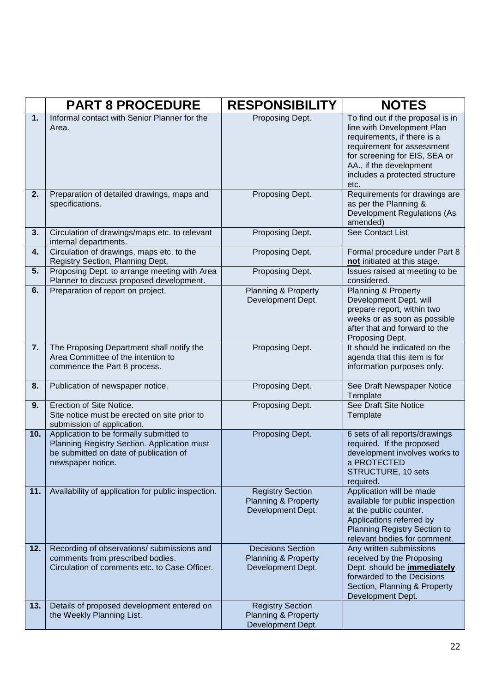|     | <b>PART 8 PROCEDURE</b>                                                                                                                               | <b>RESPONSIBILITY</b>                                                          | <b>NOTES</b>                                                                                                                                                                                                                       |
|-----|-------------------------------------------------------------------------------------------------------------------------------------------------------|--------------------------------------------------------------------------------|------------------------------------------------------------------------------------------------------------------------------------------------------------------------------------------------------------------------------------|
| 1.  | Informal contact with Senior Planner for the<br>Area.                                                                                                 | Proposing Dept.                                                                | To find out if the proposal is in<br>line with Development Plan<br>requirements, if there is a<br>requirement for assessment<br>for screening for EIS, SEA or<br>AA., if the development<br>includes a protected structure<br>etc. |
| 2.  | Preparation of detailed drawings, maps and<br>specifications.                                                                                         | Proposing Dept.                                                                | Requirements for drawings are<br>as per the Planning &<br><b>Development Regulations (As</b><br>amended)                                                                                                                           |
| 3.  | Circulation of drawings/maps etc. to relevant<br>internal departments.                                                                                | Proposing Dept.                                                                | See Contact List                                                                                                                                                                                                                   |
| 4.  | Circulation of drawings, maps etc. to the<br>Registry Section, Planning Dept.                                                                         | Proposing Dept.                                                                | Formal procedure under Part 8<br>not initiated at this stage.                                                                                                                                                                      |
| 5.  | Proposing Dept. to arrange meeting with Area<br>Planner to discuss proposed development.                                                              | Proposing Dept.                                                                | Issues raised at meeting to be<br>considered.                                                                                                                                                                                      |
| 6.  | Preparation of report on project.                                                                                                                     | <b>Planning &amp; Property</b><br>Development Dept.                            | Planning & Property<br>Development Dept. will<br>prepare report, within two<br>weeks or as soon as possible<br>after that and forward to the<br>Proposing Dept.                                                                    |
| 7.  | The Proposing Department shall notify the<br>Area Committee of the intention to<br>commence the Part 8 process.                                       | Proposing Dept.                                                                | It should be indicated on the<br>agenda that this item is for<br>information purposes only.                                                                                                                                        |
| 8.  | Publication of newspaper notice.                                                                                                                      | Proposing Dept.                                                                | See Draft Newspaper Notice<br>Template                                                                                                                                                                                             |
| 9.  | Erection of Site Notice.<br>Site notice must be erected on site prior to<br>submission of application.                                                | Proposing Dept.                                                                | See Draft Site Notice<br>Template                                                                                                                                                                                                  |
| 10. | Application to be formally submitted to<br>Planning Registry Section. Application must<br>be submitted on date of publication of<br>newspaper notice. | Proposing Dept.                                                                | 6 sets of all reports/drawings<br>required. If the proposed<br>development involves works to<br>a PROTECTED<br>STRUCTURE, 10 sets<br>required.                                                                                     |
| 11. | Availability of application for public inspection.                                                                                                    | <b>Registry Section</b><br><b>Planning &amp; Property</b><br>Development Dept. | Application will be made<br>available for public inspection<br>at the public counter.<br>Applications referred by<br>Planning Registry Section to<br>relevant bodies for comment.                                                  |
| 12. | Recording of observations/ submissions and<br>comments from prescribed bodies.<br>Circulation of comments etc. to Case Officer.                       | <b>Decisions Section</b><br>Planning & Property<br>Development Dept.           | Any written submissions<br>received by the Proposing<br>Dept. should be <b>immediately</b><br>forwarded to the Decisions<br>Section, Planning & Property<br>Development Dept.                                                      |
| 13. | Details of proposed development entered on<br>the Weekly Planning List.                                                                               | <b>Registry Section</b><br><b>Planning &amp; Property</b><br>Development Dept. |                                                                                                                                                                                                                                    |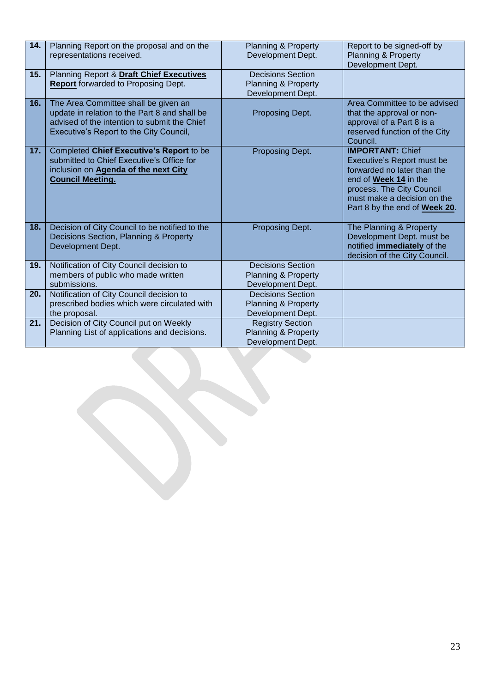| 14. | Planning Report on the proposal and on the<br>representations received.                                                                                                          | <b>Planning &amp; Property</b><br>Development Dept.                             | Report to be signed-off by<br><b>Planning &amp; Property</b><br>Development Dept.                                                                                                                                  |
|-----|----------------------------------------------------------------------------------------------------------------------------------------------------------------------------------|---------------------------------------------------------------------------------|--------------------------------------------------------------------------------------------------------------------------------------------------------------------------------------------------------------------|
| 15. | Planning Report & Draft Chief Executives<br><b>Report</b> forwarded to Proposing Dept.                                                                                           | <b>Decisions Section</b><br><b>Planning &amp; Property</b><br>Development Dept. |                                                                                                                                                                                                                    |
| 16. | The Area Committee shall be given an<br>update in relation to the Part 8 and shall be<br>advised of the intention to submit the Chief<br>Executive's Report to the City Council, | Proposing Dept.                                                                 | Area Committee to be advised<br>that the approval or non-<br>approval of a Part 8 is a<br>reserved function of the City<br>Council.                                                                                |
| 17. | Completed Chief Executive's Report to be<br>submitted to Chief Executive's Office for<br>inclusion on Agenda of the next City<br><b>Council Meeting.</b>                         | Proposing Dept.                                                                 | <b>IMPORTANT: Chief</b><br>Executive's Report must be<br>forwarded no later than the<br>end of Week 14 in the<br>process. The City Council<br>must make a decision on the<br>Part 8 by the end of <b>Week 20</b> . |
| 18. | Decision of City Council to be notified to the<br>Decisions Section, Planning & Property<br>Development Dept.                                                                    | Proposing Dept.                                                                 | The Planning & Property<br>Development Dept. must be<br>notified <i>immediately</i> of the<br>decision of the City Council.                                                                                        |
| 19. | Notification of City Council decision to<br>members of public who made written<br>submissions.                                                                                   | <b>Decisions Section</b><br>Planning & Property<br>Development Dept.            |                                                                                                                                                                                                                    |
| 20. | Notification of City Council decision to<br>prescribed bodies which were circulated with<br>the proposal.                                                                        | <b>Decisions Section</b><br><b>Planning &amp; Property</b><br>Development Dept. |                                                                                                                                                                                                                    |
| 21. | Decision of City Council put on Weekly<br>Planning List of applications and decisions.                                                                                           | <b>Registry Section</b><br>Planning & Property<br>Development Dept.             |                                                                                                                                                                                                                    |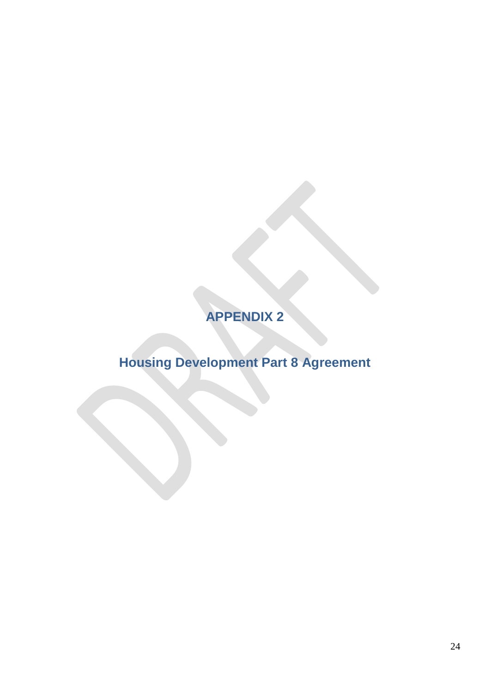## **APPENDIX 2**

## **Housing Development Part 8 Agreement**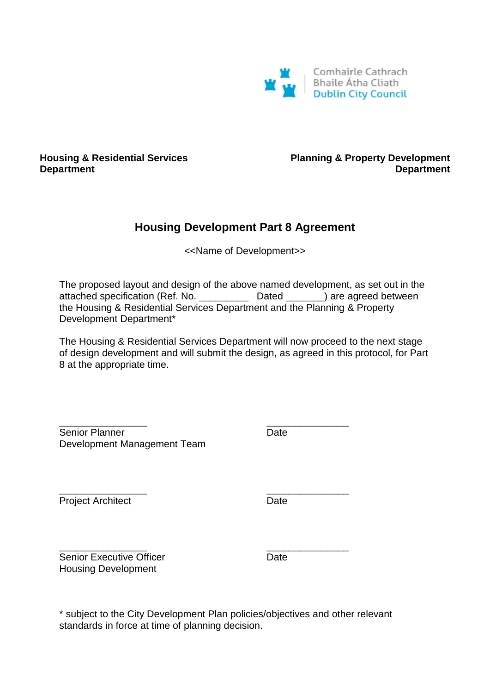

#### **Housing & Residential Services Department**

**Planning & Property Development Department**

#### **Housing Development Part 8 Agreement**

<<Name of Development>>

The proposed layout and design of the above named development, as set out in the attached specification (Ref. No. \_\_\_\_\_\_\_\_\_ Dated \_\_\_\_\_\_\_) are agreed between the Housing & Residential Services Department and the Planning & Property Development Department\*

The Housing & Residential Services Department will now proceed to the next stage of design development and will submit the design, as agreed in this protocol, for Part 8 at the appropriate time.

\_\_\_\_\_\_\_\_\_\_\_\_\_\_\_\_ \_\_\_\_\_\_\_\_\_\_\_\_\_\_\_ Senior Planner **Date** Development Management Team

\_\_\_\_\_\_\_\_\_\_\_\_\_\_\_\_ \_\_\_\_\_\_\_\_\_\_\_\_\_\_\_ Project Architect **Date** 

\_\_\_\_\_\_\_\_\_\_\_\_\_\_\_\_ \_\_\_\_\_\_\_\_\_\_\_\_\_\_\_ Senior Executive Officer **Date** Date Housing Development

\* subject to the City Development Plan policies/objectives and other relevant standards in force at time of planning decision.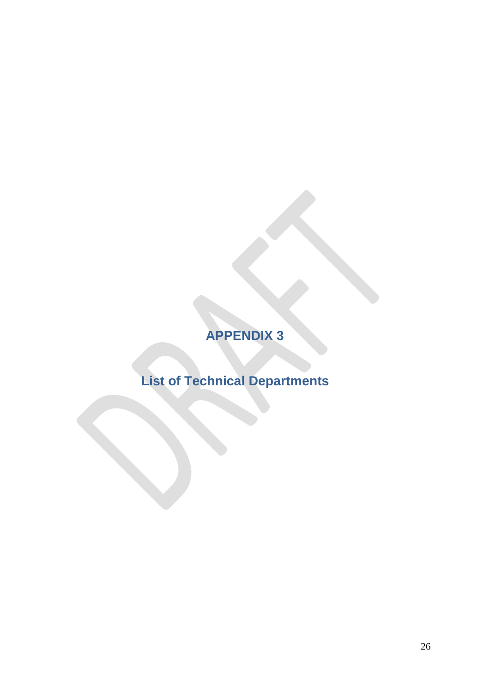## **APPENDIX 3**

## **List of Technical Departments**